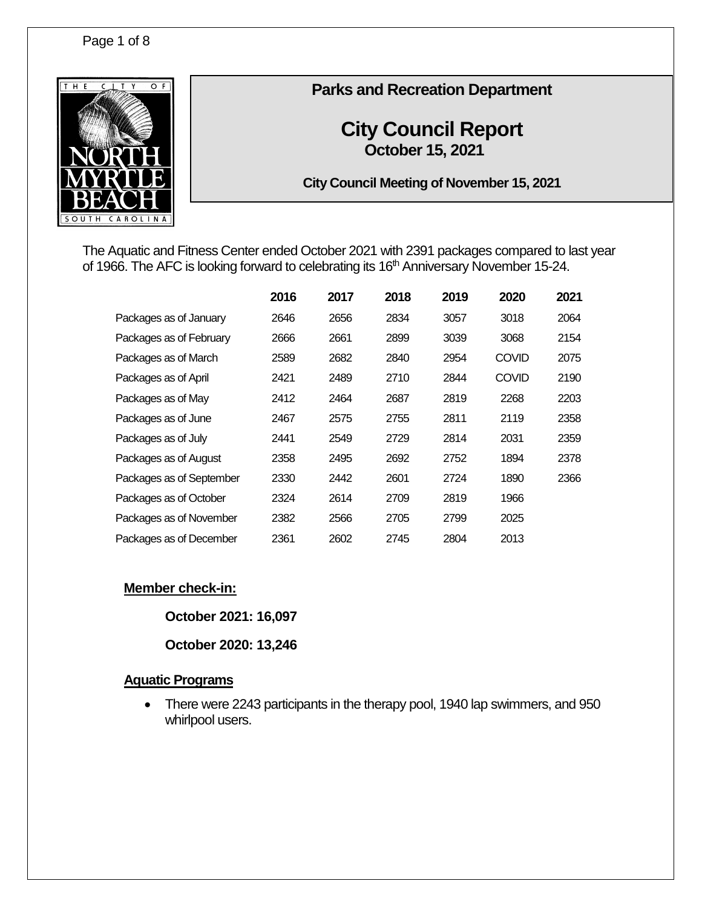

# **Parks and Recreation Department**

# **City Council Report October 15, 2021**

**City Council Meeting of November 15, 2021**

The Aquatic and Fitness Center ended October 2021 with 2391 packages compared to last year of 1966. The AFC is looking forward to celebrating its 16<sup>th</sup> Anniversary November 15-24.

|                          | 2016 | 2017 | 2018 | 2019 | 2020         | 2021 |
|--------------------------|------|------|------|------|--------------|------|
| Packages as of January   | 2646 | 2656 | 2834 | 3057 | 3018         | 2064 |
| Packages as of February  | 2666 | 2661 | 2899 | 3039 | 3068         | 2154 |
| Packages as of March     | 2589 | 2682 | 2840 | 2954 | <b>COVID</b> | 2075 |
| Packages as of April     | 2421 | 2489 | 2710 | 2844 | <b>COVID</b> | 2190 |
| Packages as of May       | 2412 | 2464 | 2687 | 2819 | 2268         | 2203 |
| Packages as of June      | 2467 | 2575 | 2755 | 2811 | 2119         | 2358 |
| Packages as of July      | 2441 | 2549 | 2729 | 2814 | 2031         | 2359 |
| Packages as of August    | 2358 | 2495 | 2692 | 2752 | 1894         | 2378 |
| Packages as of September | 2330 | 2442 | 2601 | 2724 | 1890         | 2366 |
| Packages as of October   | 2324 | 2614 | 2709 | 2819 | 1966         |      |
| Packages as of November  | 2382 | 2566 | 2705 | 2799 | 2025         |      |
| Packages as of December  | 2361 | 2602 | 2745 | 2804 | 2013         |      |

# **Member check-in:**

**October 2021: 16,097**

**October 2020: 13,246**

### **Aquatic Programs**

• There were 2243 participants in the therapy pool, 1940 lap swimmers, and 950 whirlpool users.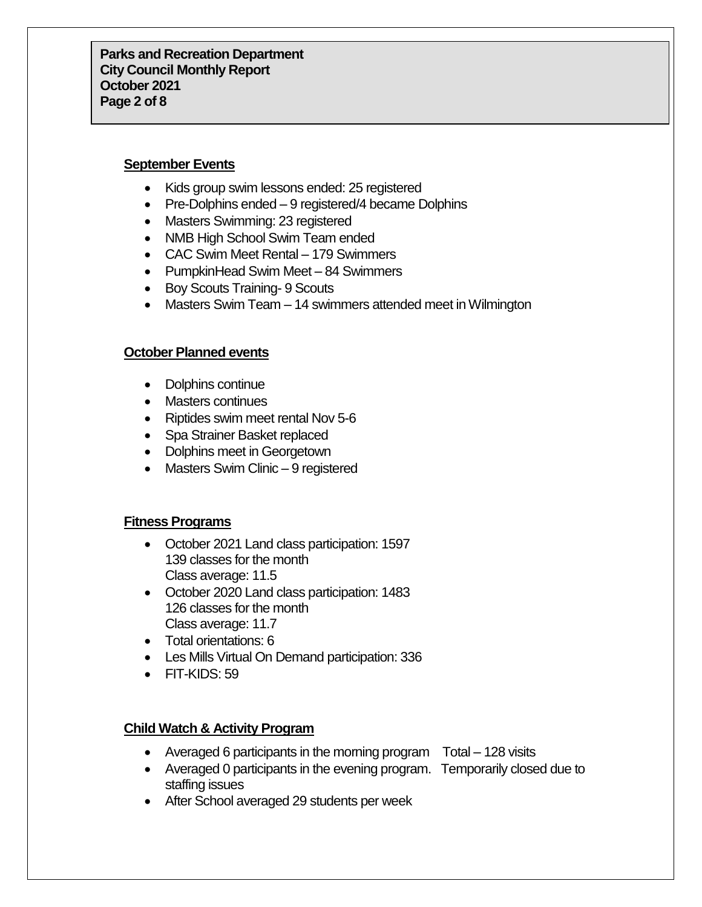**Parks and Recreation Department City Council Monthly Report October 2021 Page 2 of 8**

#### **September Events**

- Kids group swim lessons ended: 25 registered
- Pre-Dolphins ended 9 registered/4 became Dolphins
- Masters Swimming: 23 registered
- NMB High School Swim Team ended
- CAC Swim Meet Rental 179 Swimmers
- PumpkinHead Swim Meet 84 Swimmers
- Boy Scouts Training- 9 Scouts
- Masters Swim Team 14 swimmers attended meet in Wilmington

#### **October Planned events**

- Dolphins continue
- Masters continues
- Riptides swim meet rental Nov 5-6
- Spa Strainer Basket replaced
- Dolphins meet in Georgetown
- Masters Swim Clinic 9 registered

#### **Fitness Programs**

- October 2021 Land class participation: 1597 139 classes for the month Class average: 11.5
- October 2020 Land class participation: 1483 126 classes for the month Class average: 11.7
- Total orientations: 6
- Les Mills Virtual On Demand participation: 336
- FIT-KIDS: 59

### **Child Watch & Activity Program**

- Averaged 6 participants in the morning program Total 128 visits
- Averaged 0 participants in the evening program. Temporarily closed due to staffing issues
- After School averaged 29 students per week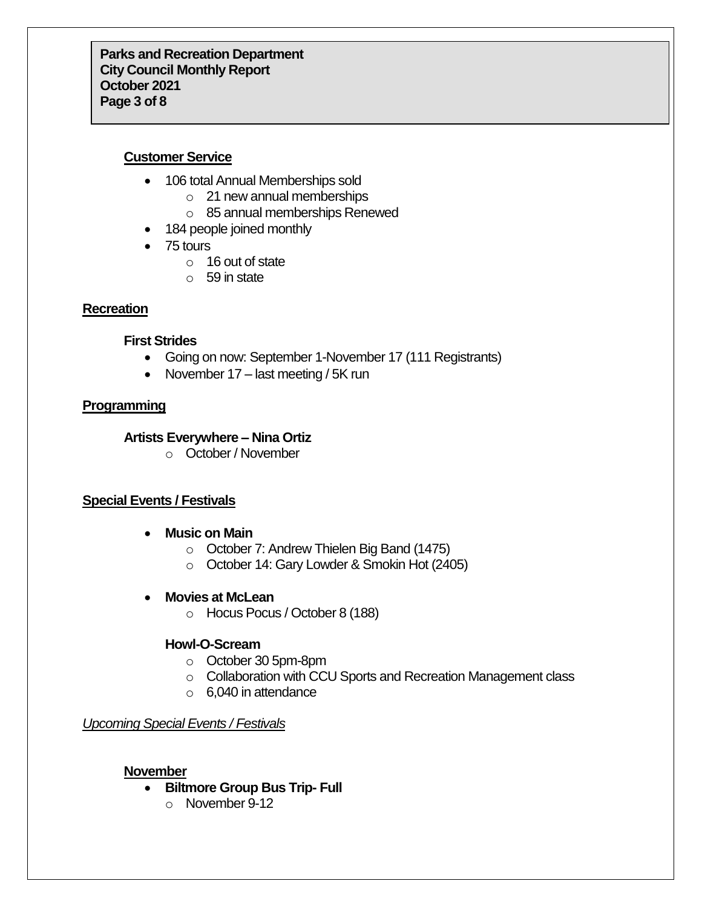# **Customer Service**

- 106 total Annual Memberships sold
	- o 21 new annual memberships
	- o 85 annual memberships Renewed
- 184 people joined monthly
- 75 tours
	- o 16 out of state
	- o 59 in state

# **Recreation**

#### **First Strides**

- Going on now: September 1-November 17 (111 Registrants)
- November  $17$  last meeting / 5K run

# **Programming**

# **Artists Everywhere – Nina Ortiz**

o October / November

# **Special Events / Festivals**

- **Music on Main**
	- o October 7: Andrew Thielen Big Band (1475)
	- o October 14: Gary Lowder & Smokin Hot (2405)
- **Movies at McLean**
	- o Hocus Pocus / October 8 (188)

# **Howl-O-Scream**

- o October 30 5pm-8pm
- o Collaboration with CCU Sports and Recreation Management class
- o 6,040 in attendance

# *Upcoming Special Events / Festivals*

### **November**

- **Biltmore Group Bus Trip- Full**
	- o November 9-12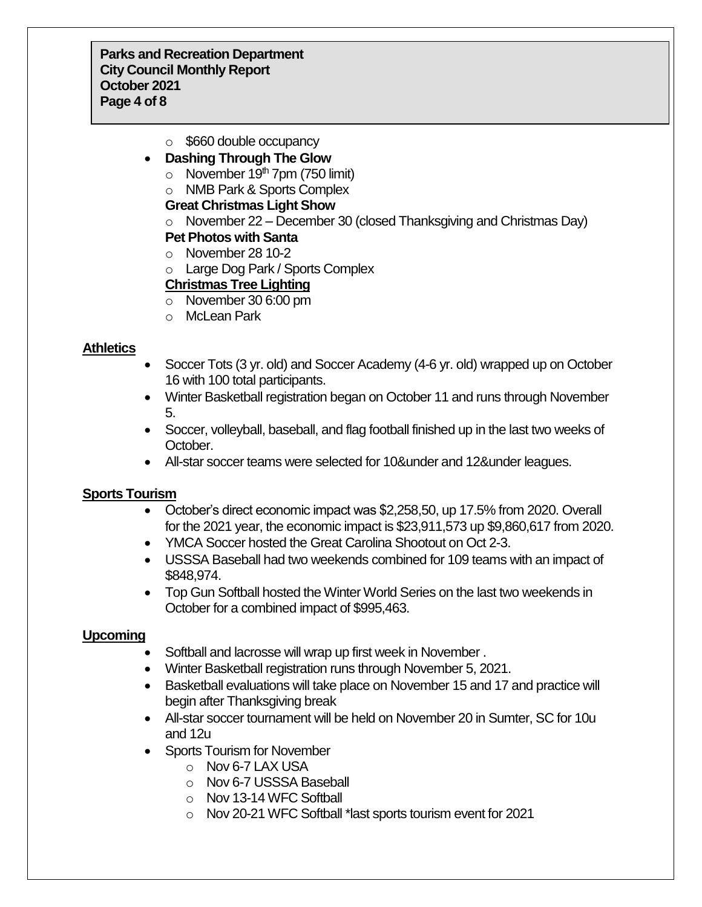**Parks and Recreation Department City Council Monthly Report October 2021 Page 4 of 8**

o \$660 double occupancy

# **Dashing Through The Glow**

- $\circ$  November 19<sup>th</sup> 7pm (750 limit)
- o NMB Park & Sports Complex

#### **Great Christmas Light Show**

 $\circ$  November 22 – December 30 (closed Thanksgiving and Christmas Day)

# **Pet Photos with Santa**

- o November 28 10-2
- o Large Dog Park / Sports Complex

### **Christmas Tree Lighting**

- o November 30 6:00 pm
- o McLean Park

### **Athletics**

- Soccer Tots (3 yr. old) and Soccer Academy (4-6 yr. old) wrapped up on October 16 with 100 total participants.
- Winter Basketball registration began on October 11 and runs through November 5.
- Soccer, volleyball, baseball, and flag football finished up in the last two weeks of October.
- All-star soccer teams were selected for 10&under and 12&under leagues.

### **Sports Tourism**

- October's direct economic impact was \$2,258,50, up 17.5% from 2020. Overall for the 2021 year, the economic impact is \$23,911,573 up \$9,860,617 from 2020.
- YMCA Soccer hosted the Great Carolina Shootout on Oct 2-3.
- USSSA Baseball had two weekends combined for 109 teams with an impact of \$848,974.
- Top Gun Softball hosted the Winter World Series on the last two weekends in October for a combined impact of \$995,463.

### **Upcoming**

- Softball and lacrosse will wrap up first week in November .
- Winter Basketball registration runs through November 5, 2021.
- Basketball evaluations will take place on November 15 and 17 and practice will begin after Thanksgiving break
- All-star soccer tournament will be held on November 20 in Sumter, SC for 10u and 12u
- Sports Tourism for November
	- o Nov 6-7 LAX USA
	- o Nov 6-7 USSSA Baseball
	- o Nov 13-14 WFC Softball
	- o Nov 20-21 WFC Softball \*last sports tourism event for 2021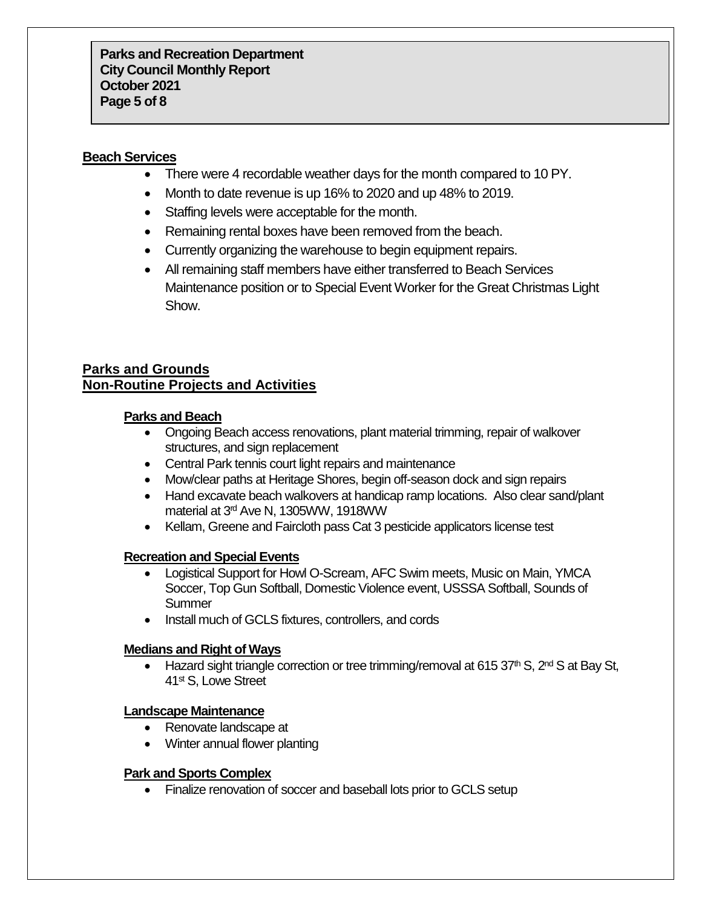### **Beach Services**

- There were 4 recordable weather days for the month compared to 10 PY.
- Month to date revenue is up 16% to 2020 and up 48% to 2019.
- Staffing levels were acceptable for the month.
- Remaining rental boxes have been removed from the beach.
- Currently organizing the warehouse to begin equipment repairs.
- All remaining staff members have either transferred to Beach Services Maintenance position or to Special Event Worker for the Great Christmas Light Show.

# **Parks and Grounds Non-Routine Projects and Activities**

### **Parks and Beach**

- Ongoing Beach access renovations, plant material trimming, repair of walkover structures, and sign replacement
- Central Park tennis court light repairs and maintenance
- Mow/clear paths at Heritage Shores, begin off-season dock and sign repairs
- Hand excavate beach walkovers at handicap ramp locations. Also clear sand/plant material at 3rd Ave N, 1305WW, 1918WW
- Kellam, Greene and Faircloth pass Cat 3 pesticide applicators license test

### **Recreation and Special Events**

- Logistical Support for Howl O-Scream, AFC Swim meets, Music on Main, YMCA Soccer, Top Gun Softball, Domestic Violence event, USSSA Softball, Sounds of **Summer**
- Install much of GCLS fixtures, controllers, and cords

### **Medians and Right of Ways**

• Hazard sight triangle correction or tree trimming/removal at 615 37<sup>th</sup> S, 2<sup>nd</sup> S at Bay St, 41st S, Lowe Street

#### **Landscape Maintenance**

- Renovate landscape at
- Winter annual flower planting

### **Park and Sports Complex**

• Finalize renovation of soccer and baseball lots prior to GCLS setup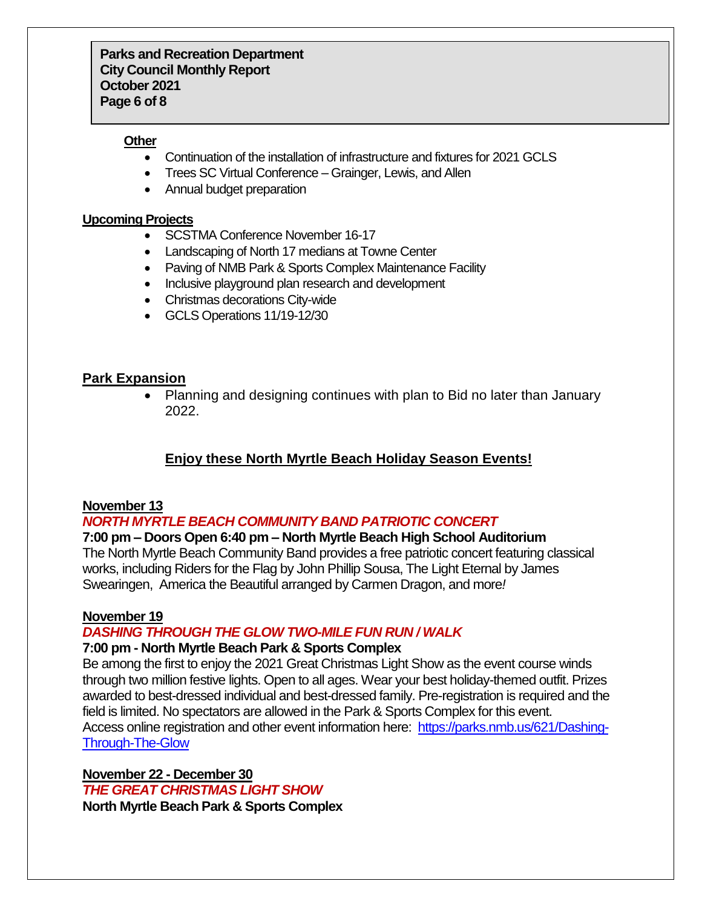### **Other**

- Continuation of the installation of infrastructure and fixtures for 2021 GCLS
- Trees SC Virtual Conference Grainger, Lewis, and Allen
- Annual budget preparation

# **Upcoming Projects**

- SCSTMA Conference November 16-17
- Landscaping of North 17 medians at Towne Center
- Paving of NMB Park & Sports Complex Maintenance Facility
- Inclusive playground plan research and development
- Christmas decorations City-wide
- GCLS Operations 11/19-12/30

# **Park Expansion**

 Planning and designing continues with plan to Bid no later than January 2022.

# **Enjoy these North Myrtle Beach Holiday Season Events!**

# **November 13**

# *NORTH MYRTLE BEACH COMMUNITY BAND PATRIOTIC CONCERT*

# **7:00 pm – Doors Open 6:40 pm – North Myrtle Beach High School Auditorium**

The North Myrtle Beach Community Band provides a free patriotic concert featuring classical works, including Riders for the Flag by John Phillip Sousa, The Light Eternal by James Swearingen, America the Beautiful arranged by Carmen Dragon, and more*!*

### **November 19**

# *DASHING THROUGH THE GLOW TWO-MILE FUN RUN / WALK*

# **7:00 pm - North Myrtle Beach Park & Sports Complex**

Be among the first to enjoy the 2021 Great Christmas Light Show as the event course winds through two million festive lights. Open to all ages. Wear your best holiday-themed outfit. Prizes awarded to best-dressed individual and best-dressed family. Pre-registration is required and the field is limited. No spectators are allowed in the Park & Sports Complex for this event. Access online registration and other event information here: [https://parks.nmb.us/621/Dashing-](https://parks.nmb.us/621/Dashing-Through-The-Glow)[Through-The-Glow](https://parks.nmb.us/621/Dashing-Through-The-Glow)

**November 22 - December 30** *THE GREAT CHRISTMAS LIGHT SHOW* **North Myrtle Beach Park & Sports Complex**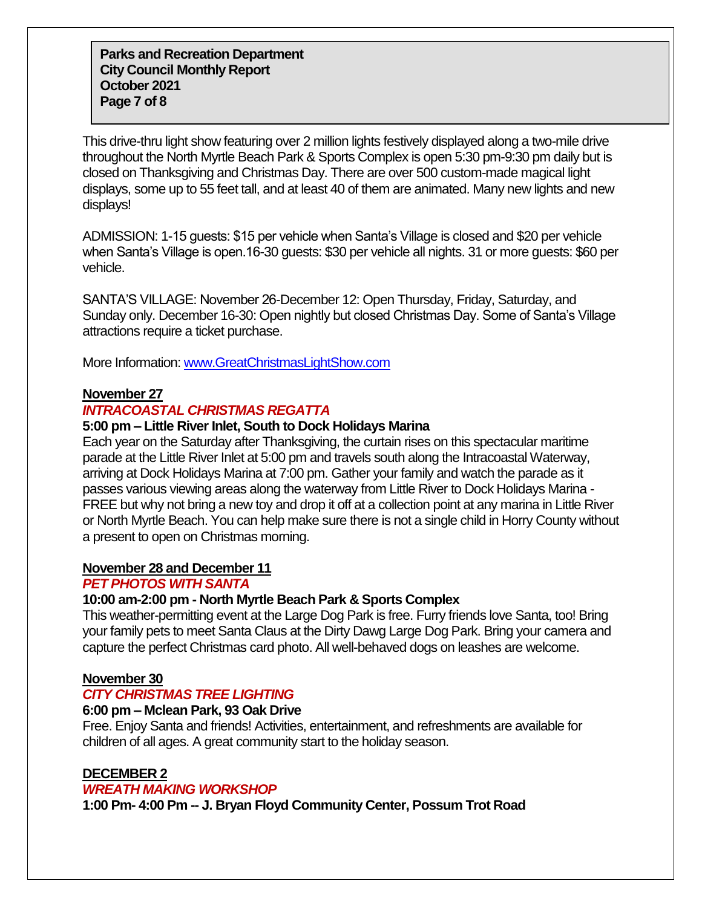**Parks and Recreation Department City Council Monthly Report October 2021 Page 7 of 8**

This drive-thru light show featuring over 2 million lights festively displayed along a two-mile drive throughout the North Myrtle Beach Park & Sports Complex is open 5:30 pm-9:30 pm daily but is closed on Thanksgiving and Christmas Day. There are over 500 custom-made magical light displays, some up to 55 feet tall, and at least 40 of them are animated. Many new lights and new displays!

ADMISSION: 1-15 guests: \$15 per vehicle when Santa's Village is closed and \$20 per vehicle when Santa's Village is open.16-30 guests: \$30 per vehicle all nights. 31 or more guests: \$60 per vehicle.

SANTA'S VILLAGE: November 26-December 12: Open Thursday, Friday, Saturday, and Sunday only. December 16-30: Open nightly but closed Christmas Day. Some of Santa's Village attractions require a ticket purchase.

More Information: [www.GreatChristmasLightShow.com](http://www.greatchristmaslightshow.com/)

#### **November 27**

### *INTRACOASTAL CHRISTMAS REGATTA*

#### **5:00 pm – Little River Inlet, South to Dock Holidays Marina**

Each year on the Saturday after Thanksgiving, the curtain rises on this spectacular maritime parade at the Little River Inlet at 5:00 pm and travels south along the Intracoastal Waterway, arriving at Dock Holidays Marina at 7:00 pm. Gather your family and watch the parade as it passes various viewing areas along the waterway from Little River to Dock Holidays Marina - FREE but why not bring a new toy and drop it off at a collection point at any marina in Little River or North Myrtle Beach. You can help make sure there is not a single child in Horry County without a present to open on Christmas morning.

#### **November 28 and December 11**

#### *PET PHOTOS WITH SANTA*

#### **10:00 am-2:00 pm - North Myrtle Beach Park & Sports Complex**

This weather-permitting event at the Large Dog Park is free. Furry friends love Santa, too! Bring your family pets to meet Santa Claus at the Dirty Dawg Large Dog Park. Bring your camera and capture the perfect Christmas card photo. All well-behaved dogs on leashes are welcome.

#### **November 30**

#### *CITY CHRISTMAS TREE LIGHTING*

#### **6:00 pm – Mclean Park, 93 Oak Drive**

Free. Enjoy Santa and friends! Activities, entertainment, and refreshments are available for children of all ages. A great community start to the holiday season.

#### **DECEMBER 2**

#### *WREATH MAKING WORKSHOP*

**1:00 Pm- 4:00 Pm -- J. Bryan Floyd Community Center, Possum Trot Road**